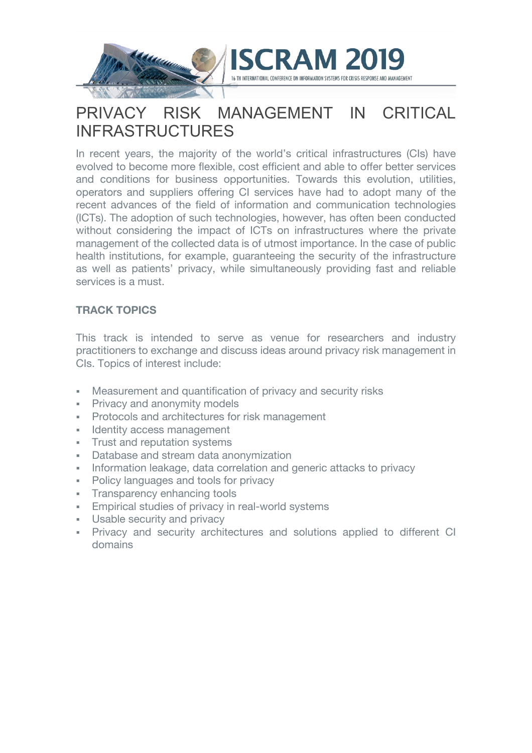

# PRIVACY RISK MANAGEMENT IN CRITICAL INFRASTRUCTURES

In recent years, the majority of the world's critical infrastructures (CIs) have evolved to become more flexible, cost efficient and able to offer better services and conditions for business opportunities. Towards this evolution, utilities, operators and suppliers offering CI services have had to adopt many of the recent advances of the field of information and communication technologies (ICTs). The adoption of such technologies, however, has often been conducted without considering the impact of ICTs on infrastructures where the private management of the collected data is of utmost importance. In the case of public health institutions, for example, guaranteeing the security of the infrastructure as well as patients' privacy, while simultaneously providing fast and reliable services is a must.

### **TRACK TOPICS**

This track is intended to serve as venue for researchers and industry practitioners to exchange and discuss ideas around privacy risk management in CIs. Topics of interest include:

- Measurement and quantification of privacy and security risks
- **Privacy and anonymity models**
- § Protocols and architectures for risk management
- Identity access management
- § Trust and reputation systems
- Database and stream data anonymization
- Information leakage, data correlation and generic attacks to privacy
- Policy languages and tools for privacy
- Transparency enhancing tools
- **Empirical studies of privacy in real-world systems**
- **Usable security and privacy**
- Privacy and security architectures and solutions applied to different CI domains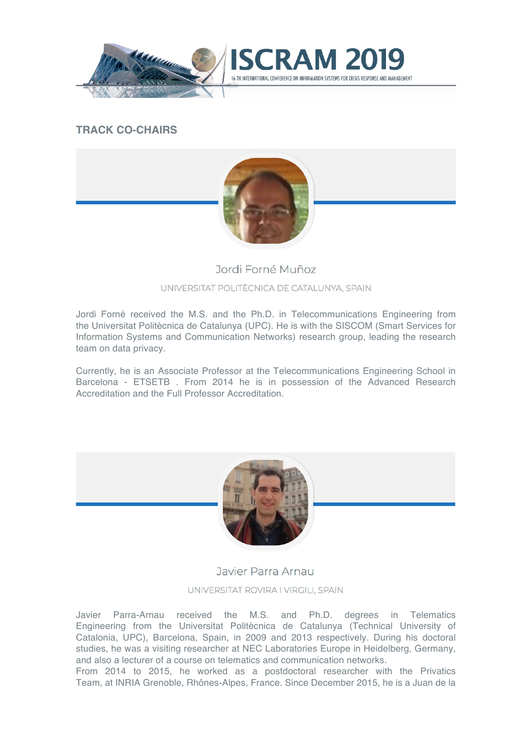

## **TRACK CO-CHAIRS**



ND MANAGEMENT

# Jordi Forné Muñoz UNIVERSITAT POLITÈCNICA DE CATALUNYA, SPAIN

Jordi Forné received the M.S. and the Ph.D. in Telecommunications Engineering from the Universitat Politècnica de Catalunya (UPC). He is with the SISCOM (Smart Services for Information Systems and Communication Networks) research group, leading the research team on data privacy.

Currently, he is an Associate Professor at the Telecommunications Engineering School in Barcelona - ETSETB . From 2014 he is in possession of the Advanced Research Accreditation and the Full Professor Accreditation.



### Javier Parra Arnau

UNIVERSITAT ROVIRA I VIRGILI, SPAIN

Javier Parra-Arnau received the M.S. and Ph.D. degrees in Telematics Engineering from the Universitat Politècnica de Catalunya (Technical University of Catalonia, UPC), Barcelona, Spain, in 2009 and 2013 respectively. During his doctoral studies, he was a visiting researcher at NEC Laboratories Europe in Heidelberg, Germany, and also a lecturer of a course on telematics and communication networks.

From 2014 to 2015, he worked as a postdoctoral researcher with the Privatics Team, at INRIA Grenoble, Rhônes-Alpes, France. Since December 2015, he is a Juan de la